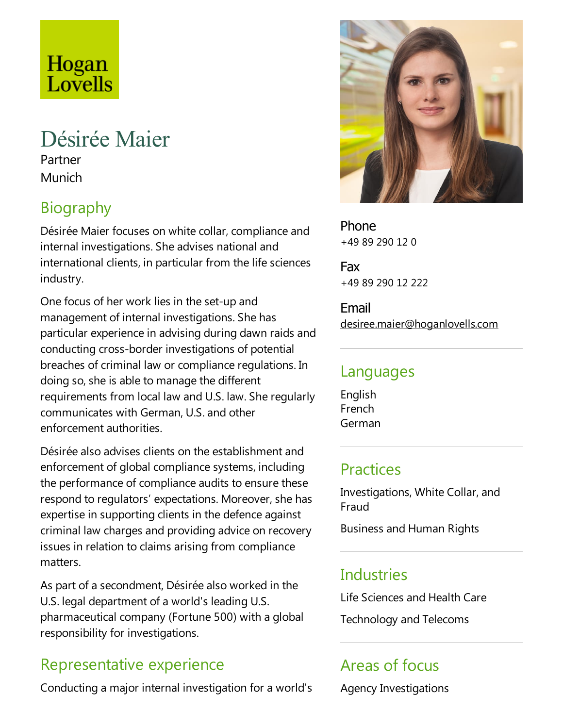# Hogan Lovells

## Désirée Maier

Partner Munich

## Biography

Désirée Maier focuses on white collar, compliance and internal investigations. She advises national and international clients, in particular from the life sciences industry.

One focus of her work lies in the set-up and management of internal investigations. She has particular experience in advising during dawn raids and conducting cross-border investigations of potential breaches of criminal law or compliance regulations. In doing so, she is able to manage the different requirements from local law and U.S. law. Sheregularly communicates with German, U.S.and other enforcement authorities.

Désirée also advises clients on the establishment and enforcement of global compliance systems, including the performance of compliance audits to ensure these respond to regulators' expectations.Moreover, she has expertise in supporting clients in the defence against criminal law charges and providing advice on recovery issues in relation to claims arising from compliance matters.

As part of a secondment, Désirée also worked in the U.S. legal department of a world's leading U.S. pharmaceutical company (Fortune 500) with a global responsibility for investigations.

## Representative experience

Conducting a major internal investigation for a world's



Phone +49 89 290 12 0

Fax +49 89 290 12 222

Email desiree.maier@hoganlovells.com

#### Languages

English French German

#### **Practices**

Investigations, White Collar, and Fraud

Business and Human Rights

#### Industries

Life Sciences and Health Care Technology and Telecoms

## Areas of focus

Agency Investigations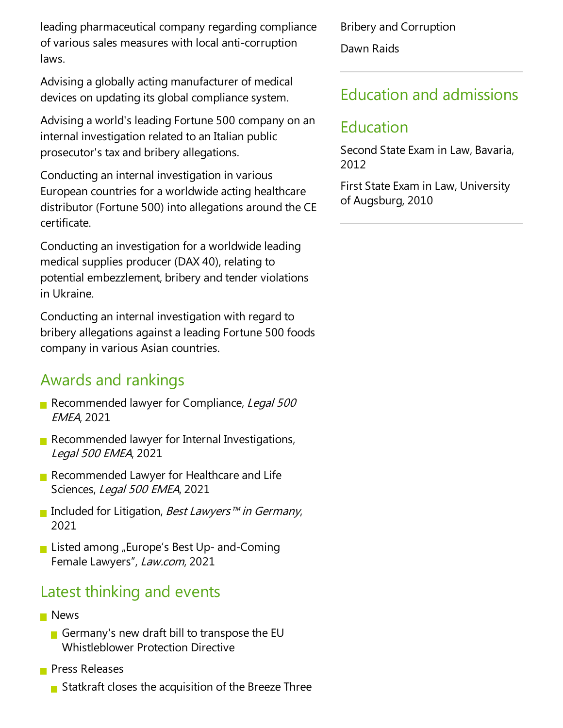leading pharmaceutical company regarding compliance of various sales measures with local anti-corruption laws.

Advising a globally acting manufacturer of medical devices on updating its global compliance system.

Advising a world's leading Fortune 500 company on an internal investigation related to an Italian public prosecutor's tax and bribery allegations.

Conducting an internal investigation in various European countries for a worldwide acting healthcare distributor (Fortune 500) into allegations around the CE certificate.

Conducting an investigation for a worldwide leading medical supplies producer (DAX 40), relating to potential embezzlement, bribery and tender violations in Ukraine.

Conducting an internal investigation with regard to bribery allegations against a leading Fortune 500 foods company in various Asian countries.

#### Awards and rankings

- Recommended lawyer for Compliance, Legal 500 EMEA, 2021
- Recommended lawyer for Internal Investigations, Legal <sup>500</sup> EMEA, 2021
- Recommended Lawyer for Healthcare and Life Sciences, Legal 500 EMEA, 2021
- Included for Litigation, Best Lawyers™ in Germany, 2021
- **Listed among "Europe's Best Up- and-Coming** Female Lawyers", Law.com, 2021

#### Latest thinking and events

- **News** 
	- Germany's new draft bill to transpose the EU Whistleblower Protection Directive
- **Press Releases** 
	- Statkraft closes the acquisition of the Breeze Three

Bribery and Corruption Dawn Raids

#### Education and admissions

#### Education

Second State Exam in Law, Bavaria, 2012

First State Exam in Law, University of Augsburg, 2010